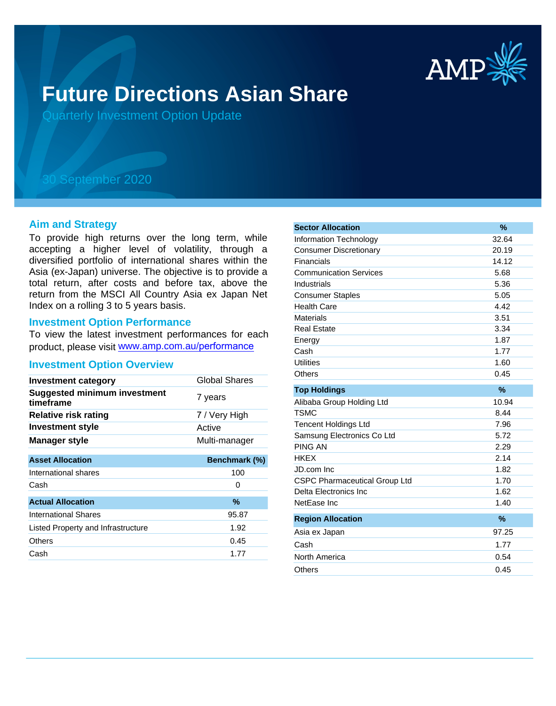

# **Future Directions Asian Share**

Quarterly Investment Option Update

## 30 September 2020

#### **Aim and Strategy**

To provide high returns over the long term, while accepting a higher level of volatility, through a diversified portfolio of international shares within the Asia (ex-Japan) universe. The objective is to provide a total return, after costs and before tax, above the return from the MSCI All Country Asia ex Japan Net Index on a rolling 3 to 5 years basis.

#### **Investment Option Performance**

To view the latest investment performances for each product, please visit www.amp.com.au/performance

#### **Investment Option Overview**

| <b>Investment category</b>                       | Global Shares |
|--------------------------------------------------|---------------|
| <b>Suggested minimum investment</b><br>timeframe | 7 years       |
| <b>Relative risk rating</b>                      | 7 / Very High |
| <b>Investment style</b>                          | Active        |
| <b>Manager style</b>                             | Multi-manager |
| <b>Asset Allocation</b>                          | Benchmark (%) |
| International shares                             | 100           |
| Cash                                             | 0             |
| <b>Actual Allocation</b>                         | %             |
| <b>International Shares</b>                      | 95.87         |
| Listed Property and Infrastructure               | 1.92          |
| Others                                           | 0.45          |
| Cash                                             | 1.77          |

| <b>Sector Allocation</b>             | $\frac{9}{6}$ |
|--------------------------------------|---------------|
| <b>Information Technology</b>        | 32.64         |
| <b>Consumer Discretionary</b>        | 20.19         |
| Financials                           | 14.12         |
| <b>Communication Services</b>        | 5.68          |
| Industrials                          | 5.36          |
| <b>Consumer Staples</b>              | 5.05          |
| <b>Health Care</b>                   | 4.42          |
| <b>Materials</b>                     | 3.51          |
| <b>Real Estate</b>                   | 3.34          |
| Energy                               | 1.87          |
| Cash                                 | 1.77          |
| <b>Utilities</b>                     | 1.60          |
| Others                               | 0.45          |
| <b>Top Holdings</b>                  | $\%$          |
| Alibaba Group Holding Ltd            | 10.94         |
| <b>TSMC</b>                          | 8.44          |
| <b>Tencent Holdings Ltd</b>          | 7.96          |
| Samsung Electronics Co Ltd           | 5.72          |
| <b>PING AN</b>                       | 2.29          |
| <b>HKEX</b>                          | 2.14          |
| JD.com Inc                           | 1.82          |
| <b>CSPC Pharmaceutical Group Ltd</b> | 1.70          |
| Delta Electronics Inc                | 1.62          |
| NetEase Inc                          | 1.40          |
| <b>Region Allocation</b>             | $\%$          |
| Asia ex Japan                        | 97.25         |
| Cash                                 | 1.77          |
| North America                        | 0.54          |
| Others                               | 0.45          |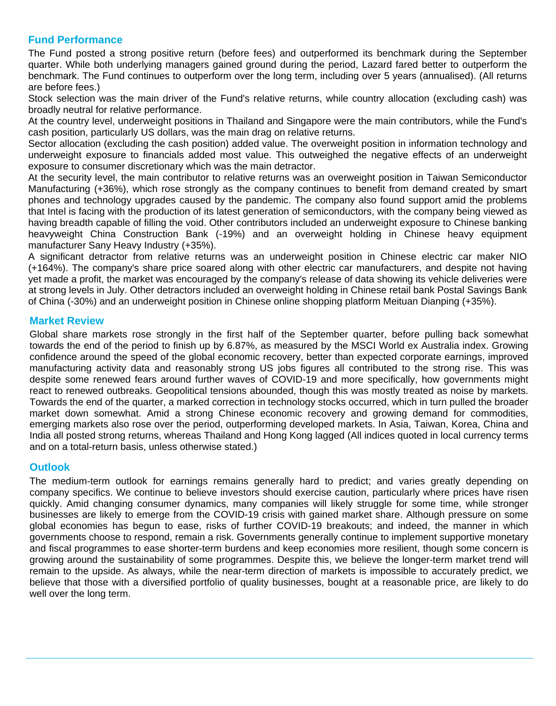### **Fund Performance**

The Fund posted a strong positive return (before fees) and outperformed its benchmark during the September quarter. While both underlying managers gained ground during the period, Lazard fared better to outperform the benchmark. The Fund continues to outperform over the long term, including over 5 years (annualised). (All returns are before fees.)

Stock selection was the main driver of the Fund's relative returns, while country allocation (excluding cash) was broadly neutral for relative performance.

At the country level, underweight positions in Thailand and Singapore were the main contributors, while the Fund's cash position, particularly US dollars, was the main drag on relative returns.

Sector allocation (excluding the cash position) added value. The overweight position in information technology and underweight exposure to financials added most value. This outweighed the negative effects of an underweight exposure to consumer discretionary which was the main detractor.

At the security level, the main contributor to relative returns was an overweight position in Taiwan Semiconductor Manufacturing (+36%), which rose strongly as the company continues to benefit from demand created by smart phones and technology upgrades caused by the pandemic. The company also found support amid the problems that Intel is facing with the production of its latest generation of semiconductors, with the company being viewed as having breadth capable of filling the void. Other contributors included an underweight exposure to Chinese banking heavyweight China Construction Bank (-19%) and an overweight holding in Chinese heavy equipment manufacturer Sany Heavy Industry (+35%).

A significant detractor from relative returns was an underweight position in Chinese electric car maker NIO (+164%). The company's share price soared along with other electric car manufacturers, and despite not having yet made a profit, the market was encouraged by the company's release of data showing its vehicle deliveries were at strong levels in July. Other detractors included an overweight holding in Chinese retail bank Postal Savings Bank of China (-30%) and an underweight position in Chinese online shopping platform Meituan Dianping (+35%).

#### **Market Review**

Global share markets rose strongly in the first half of the September quarter, before pulling back somewhat towards the end of the period to finish up by 6.87%, as measured by the MSCI World ex Australia index. Growing confidence around the speed of the global economic recovery, better than expected corporate earnings, improved manufacturing activity data and reasonably strong US jobs figures all contributed to the strong rise. This was despite some renewed fears around further waves of COVID-19 and more specifically, how governments might react to renewed outbreaks. Geopolitical tensions abounded, though this was mostly treated as noise by markets. Towards the end of the quarter, a marked correction in technology stocks occurred, which in turn pulled the broader market down somewhat. Amid a strong Chinese economic recovery and growing demand for commodities, emerging markets also rose over the period, outperforming developed markets. In Asia, Taiwan, Korea, China and India all posted strong returns, whereas Thailand and Hong Kong lagged (All indices quoted in local currency terms and on a total-return basis, unless otherwise stated.)

#### **Outlook**

The medium-term outlook for earnings remains generally hard to predict; and varies greatly depending on company specifics. We continue to believe investors should exercise caution, particularly where prices have risen quickly. Amid changing consumer dynamics, many companies will likely struggle for some time, while stronger businesses are likely to emerge from the COVID-19 crisis with gained market share. Although pressure on some global economies has begun to ease, risks of further COVID-19 breakouts; and indeed, the manner in which governments choose to respond, remain a risk. Governments generally continue to implement supportive monetary and fiscal programmes to ease shorter-term burdens and keep economies more resilient, though some concern is growing around the sustainability of some programmes. Despite this, we believe the longer-term market trend will remain to the upside. As always, while the near-term direction of markets is impossible to accurately predict, we believe that those with a diversified portfolio of quality businesses, bought at a reasonable price, are likely to do well over the long term.